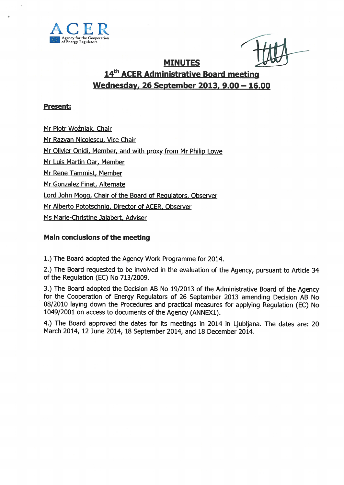

#### MINUTES

## 14<sup>th</sup> ACER Administrative Board meeting Wednesday, 26 September 2013, 9.00 — 16.00

#### Present:

Mr Piotr Woźniak, Chair

Mr Razvan Nicolescu, Vice Chair

Mr Olivier Onidi, Member, and with proxy from Mr Philip Lowe

Mr Luis Martin Oar, Member

Mr Rene Tammist, Member

Mr Gonzalez Finat, Alternate

Lord John Mogg, Chair of the Board of Regulators, Observer

Mr Alberto Pototschnig, Director of ACER, Observer

Ms Marie-Christine Jalabert, Adviser

#### Main conclusions of the meeting

1.) The Board adopted the Agency Work Programme for 2014.

2.) The Board requested to be involved in the evaluation of the Agency, pursuan<sup>t</sup> to Article <sup>34</sup> of the Regulation (EC) No 713/2009.

3.) The Board adopted the Decision AB No 19/2013 of the Administrative Board of the Agency for the Cooperation of Energy Regulators of <sup>26</sup> September <sup>2013</sup> amending Decision AB No 08/2010 laying down the Procedures and practical measures for applying Regulation (EC) No 1049/2001 on access to documents of the Agency (ANNEX1).

4.) The Board approve<sup>d</sup> the dates for its meetings in <sup>2014</sup> in Ljubljana. The dates are: <sup>20</sup> March 2014, 12 June 2014, 18 September 2014, and 18 December 2014.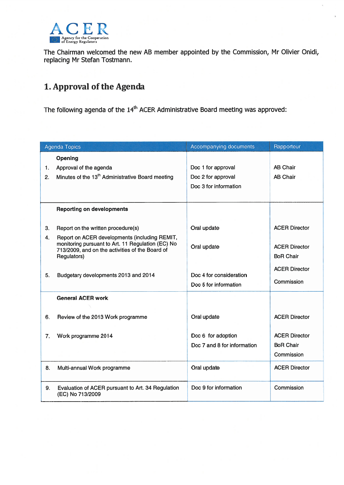

The Chairman welcomed the new AB member appointed by the Commission, Mr Olivier Onidi, replacing Mr Stefan Tostmann.

# 1. Approval of the Agenda

The following agenda of the 14<sup>th</sup> ACER Administrative Board meeting was approved

| <b>Agenda Topics</b> |                                                                                                                                                                      | Accompanying documents                                            | Rapporteur                                             |
|----------------------|----------------------------------------------------------------------------------------------------------------------------------------------------------------------|-------------------------------------------------------------------|--------------------------------------------------------|
| 1.<br>2.             | Opening<br>Approval of the agenda<br>Minutes of the 13 <sup>th</sup> Administrative Board meeting                                                                    | Doc 1 for approval<br>Doc 2 for approval<br>Doc 3 for information | <b>AB Chair</b><br><b>AB Chair</b>                     |
|                      | <b>Reporting on developments</b>                                                                                                                                     |                                                                   |                                                        |
| 3.                   | Report on the written procedure(s)                                                                                                                                   | Oral update                                                       | <b>ACER Director</b>                                   |
| 4.                   | Report on ACER developments (including REMIT,<br>monitoring pursuant to Art. 11 Regulation (EC) No<br>713/2009, and on the activities of the Board of<br>Regulators) | Oral update                                                       | <b>ACER Director</b><br><b>BoR Chair</b>               |
| 5.                   | Budgetary developments 2013 and 2014                                                                                                                                 | Doc 4 for consideration<br>Doc 5 for information                  | <b>ACER Director</b><br>Commission                     |
|                      | <b>General ACER work</b>                                                                                                                                             |                                                                   |                                                        |
| 6.                   | Review of the 2013 Work programme                                                                                                                                    | Oral update                                                       | <b>ACER Director</b>                                   |
| 7.                   | Work programme 2014                                                                                                                                                  | Doc 6 for adoption<br>Doc 7 and 8 for information                 | <b>ACER Director</b><br><b>BoR Chair</b><br>Commission |
| 8.                   | Multi-annual Work programme                                                                                                                                          | Oral update                                                       | <b>ACER Director</b>                                   |
| 9.                   | Evaluation of ACER pursuant to Art. 34 Regulation<br>(EC) No 713/2009                                                                                                | Doc 9 for information                                             | Commission                                             |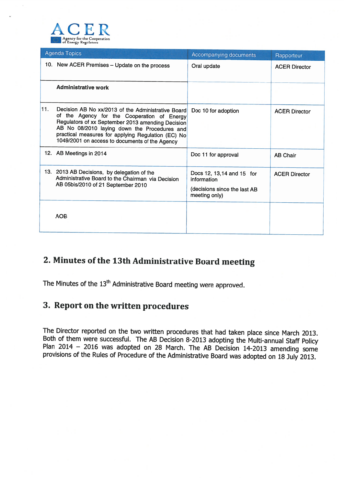

|     | Agenda Topics                                                                                                                                                                                                                                                                                                  | Accompanying documents                                                                     | Rapporteur           |
|-----|----------------------------------------------------------------------------------------------------------------------------------------------------------------------------------------------------------------------------------------------------------------------------------------------------------------|--------------------------------------------------------------------------------------------|----------------------|
|     | 10. New ACER Premises - Update on the process                                                                                                                                                                                                                                                                  | Oral update                                                                                | <b>ACER Director</b> |
|     | <b>Administrative work</b>                                                                                                                                                                                                                                                                                     |                                                                                            |                      |
| 11. | Decision AB No xx/2013 of the Administrative Board<br>of the Agency for the Cooperation of Energy<br>Regulators of xx September 2013 amending Decision<br>AB No 08/2010 laying down the Procedures and<br>practical measures for applying Regulation (EC) No<br>1049/2001 on access to documents of the Agency | Doc 10 for adoption                                                                        | <b>ACER Director</b> |
|     | 12. AB Meetings in 2014                                                                                                                                                                                                                                                                                        | Doc 11 for approval                                                                        | <b>AB Chair</b>      |
|     | 13. 2013 AB Decisions, by delegation of the<br>Administrative Board to the Chairman via Decision<br>AB 05bis/2010 of 21 September 2010                                                                                                                                                                         | Docs 12, 13, 14 and 15 for<br>information<br>(decisions since the last AB<br>meeting only) | <b>ACER Director</b> |
|     | <b>AOB</b>                                                                                                                                                                                                                                                                                                     |                                                                                            |                      |

# 2. Minutes of the 13th Administrative Board meeting

The Minutes of the 13<sup>th</sup> Administrative Board meeting were approved.

### 3. Report on the written procedures

The Director reported on the two written procedures that had taken place since March 2013.<br>Both of them were successful. The AB Decision 8-2013 adopting the Multi-annual Staff Policy<br>Plan 2014 – 2016 was adopted on 28 Marc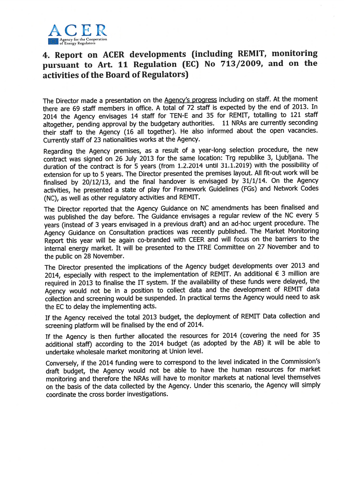

## 4. Report on ACER developments (including REMIT, monitoring pursuant to Art. <sup>11</sup> Regulation (EC) No 713/2009, and on the activities of the Board of Regulators)

The Director made a presentation on the <u>Agency's progress</u> including on staff. At the moment there are 69 staff members in office. <sup>A</sup> total of <sup>72</sup> staff is expected by the end of 2013. In 2014 the Agency envisages 14 staff for TEN-E and 35 for REMIT, totalling to 121 staff altogether, pending approval by the budgetary authorities. 11 NRAs are currently seconding their staff to the Agency (16 all together). He also informed about the open vacancies. currently staff of <sup>23</sup> nationalities works at the Agency.

Regarding the Agency premises, as <sup>a</sup> result of <sup>a</sup> year-long selection procedure, the new contract was signed on <sup>26</sup> July <sup>2013</sup> for the same location: Trg republike 3, Ljubljana. The duration of the contract is for 5 years (from 1.2.2014 until 31.1.2019) with the possibility of extension for up to <sup>5</sup> years. The Director presented the premises layout. All fit-out work will be finalised by 20/12/13, and the final handover is envisaged by 31/1/14. On the Agency activities, he presented <sup>a</sup> state of play for Framework Guidelines (FG5) and Network Codes (NC), as well as other regulatory activities and REMIT.

The Director reported that the Agency Guidance on NC amendments has been finalised and was published the day before. The Guidance envisages <sup>a</sup> regular review of the NC every 5 years (instead of 3 years envisaged in a previous draft) and an ad-hoc urgent procedure. The Agency Guidance on Consultation practices was recently published. The Market Monitoring Report this year will be again co-branded with CEER and will focus on the barriers to the internal energy market. It will be presented to the ITRE Committee on <sup>27</sup> November and to the public on 28 November.

The Director presented the implications of the Agency budget developments over <sup>2013</sup> and 2014, especially with respect to the implementation of REMIT. An additional € 3 million are required in 2013 to finalise the IT system. If the availability of these funds were delayed, the Agency would not be in <sup>a</sup> position to collect data and the development of REMIT data collection and screening would be suspended. In practical terms the Agency would need to ask the EC to delay the implementing acts.

If the Agency received the total <sup>2013</sup> budget, the deployment of REMIT Data collection and screening platform will be finalised by the end of 2014.

If the Agency is then further allocated the resources for <sup>2014</sup> (covering the need for <sup>35</sup> additional staff) according to the <sup>2014</sup> budget (as adopted by the AB) it will be able to undertake wholesale market monitoring at Union level.

Conversely, if the <sup>2014</sup> funding were to correspond to the level indicated in the Commission's draft budget, the Agency would not be able to have the human resources for market monitoring and therefore the NRA5 will have to monitor markets at national level themselves on the basis of the data collected by the Agency. Under this scenario, the Agency will simply coordinate the cross border investigations.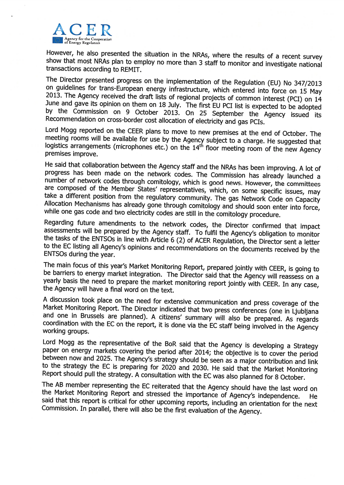

However, he also presented the situation in the NRAs, where the results of a recent survey show that most NRAs plan to employ no more than 3 staff to monitor and investigate national show that most NRAs plan to employ no more than 3 staff to monitor and investigate national<br>transactions according to REMIT.

The Director presented progress on the implementation of the Regulation (EU) No 347/2013<br>on guidelines for trans-European energy infrastructure, which entered into force on 15 May<br>2013. The Agency received the draft lists Recommendation on cross-border cost allocation of electricity and gas PCIs.<br>Lord Mogg reported on the CEER plans to move to new premises at the end of October. The

meeting rooms will be available for use by the Agency subject to a charge. He suggested that logistics arrangements (microphones etc.) on the 14<sup>th</sup> floor meeting room of the new Agency premises improve.

He said that collaboration between the Agency staff and the NRAs has been improving. A lot of progress has been made on the network codes. The Commission has already launched a<br>number of network codes through comitology, which is good news. However, the committees are composed of the Member States' representatives, which, on some specific issues, may take a different position from the regulatory community. The gas Network Code on Capacity Allocation Mechanisms has already gone through comitology and should soon enter into force, while one gas code and two electricity codes are still in the comitology procedure.<br>Regarding future amendments to the network cod

the tasks of the ENTSOs in line with Article 6 (2) of ACER Regulation, the Director sent a letter to the EC listing all Agency's opinions and recommendations on the documents received by the ENTSOs during the year.

The main focus of this year's Market Monitoring Report, prepared jointly with CEER, is going to be barriers to energy market integration. The Director said that the Agency will reassess on a yearly basis the need to prepare the market monitoring report jointly with CEER. In any case, the Agency will have a final word on the text.

A discussion took place on the need for extensive communication and press coverage of the Market Monitoring Report. The Director indicated that two press conferences (one in Ljubljana and one in Brussels are planned). A ci coordination with the EC on the report, it is done via the EC staff being involved in the Agency<br>working groups.

Lord Mogg as the representative of the BoR said that the Agency is developing paper on energy markets covering the period after 2014; the objective is to cover the period between now and 2025. The Agency's strategy should be seen as a major contribution and link to the strategy the EC is preparing for 2020 and 2030. He said that the Market Monitoring <sup>A</sup> consultation with the EC was also planned for 8 October.

The AB member representing the EC reiterated that the Agency should have the last word on the Market Monitoring Report and stressed the importance of Agency's independence. He said that this report is critical for other up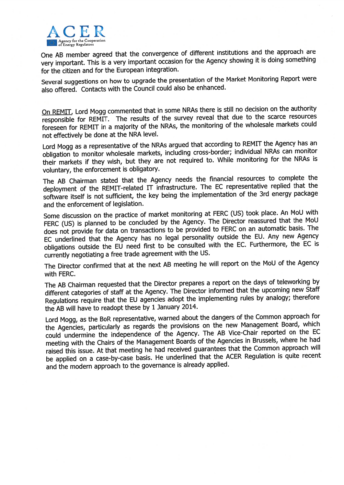

One AB member agree<sup>d</sup> that the convergence of different institutions and the approac<sup>h</sup> are very important. This is <sup>a</sup> very important occasion for the Agency showing it is doing something for the citizen and for the European integration.

Several suggestions on how to upgrade the presentation of the Market Monitoring Report were also offered. Contacts with the Council could also be enhanced.

On REMIT, Lord Mogg commented that in some NRAs there is still no decision on the authority responsible for REMIT. The results of the survey reveal that due to the scarce resources foreseen for REMIT in <sup>a</sup> majority of the NRA5, the monitoring of the wholesale markets could not effectively be done at the NRA level.

Lord Mogg as a representative of the NRAs argued that according to REMIT the Agency has an obligation to monitor wholesale markets, including cross-border; individual NRAs can monitor their markets if they wish, but they are not required to. While monitoring for the NRAs is voluntary, the enforcement is obligatory.

The AB Chairman stated that the Agency needs the financial resources to complete the deployment of the REMIT-related IT infrastructure. The EC representative replied that the software itself is not sufficient, the key being the implementation of the 3rd energy package and the enforcement of legislation.

Some discussion on the practice of market monitoring at FERC (US) took <sup>p</sup>lace. An MoU with FERC (US) is planned to be concluded by the Agency. The Director reassured that the MoU does not provide for data on transactions to be provided to FERC on an automatic basis. The EC underlined that the Agency has no legal personality outside the EU. Any new Agency obligations outside the EU need first to be consulted with the EC. Furthermore, the EC is currently negotiating <sup>a</sup> free trade agreemen<sup>t</sup> with the US.

The Director confirmed that at the next AB meeting he will repor<sup>t</sup> on the MoU of the Agency with FERC.

The AB Chairman requested that the Director prepares <sup>a</sup> repor<sup>t</sup> on the days of teleworking by different categories of staff at the Agency. The Director informed that the upcoming new Staff Regulations require that the EU agencies adopt the implementing rules by analogy; therefore the AB will have to readopt these by <sup>1</sup> January 2014.

Lord Mogg, as the BoR representative, warned about the dangers of the Common approac<sup>h</sup> for the Agencies, particularly as regards the provisions on the new Management Board, which could undermine the independence of the Agency. The AB Vice-Chair reported on the EC meeting with the Chairs of the Management Boards of the Agencies in Brussels, where he had raised this issue. At that meeting he had received guarantees that the Common approac<sup>h</sup> will be applied on <sup>a</sup> case-by-case basis. He underlined that the ACER Regulation is quite recent and the modern approac<sup>h</sup> to the governance is already applied.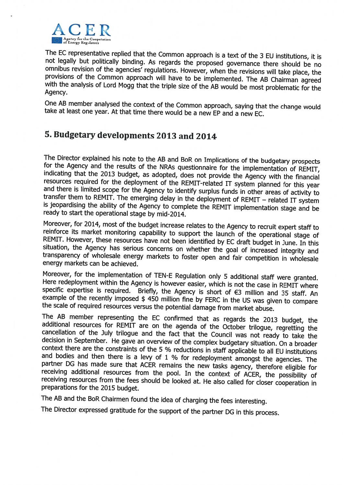

The EC representative replied that the Common approach is <sup>a</sup> text of the not legally but politically binding. As regards the proposed governance there should be no omnibus revision of the agencies' regulations. However, when the revisions will take place, the provisions of the Common approach w

One AB member analysed the context of the Common approach, saying that the change would <sup>a</sup> new EP and <sup>a</sup> new EC.

# 5. Budgetary developments 2013 and 2014

The Director explained his note to the AB and BoR on Implications of the budgetary prospects<br>for the Agency and the results of the NRAs questionnaire for the implementation of REMIT,<br>indicating that the 2013 budget, as ado is jeopardising the ability of the Agency to complete the REMIT implementation stage and be ready to start the operational stage by mid-2014.

Moreover, for 2014, most of the budget increase relates to the Agency to recruit expert staff to reinforce its market monitoring capability to support the launch of the operational stage of REMIT. However, these resources

Moreover, for the implementation of TEN-E Regulation only 5 additional staff were granted.<br>Here redeployment within the Agency is however easier, which is not the case in REMIT where<br>specific expertise is required. Briefl the scale of required resources versus the potential damage from market abuse.

The AB member representing the EC confirmed that as regards the 2013 budget, the additional resources for REMIT are on the agenda of the October trilogue, regretting the cancellation of the July trilogue and the fact that context there are the constraints of the 5 % reductions in staff applicable to all EU institutions and bodies and then there is a levy of 1 % for redeployment amongst the agencies. The partner DG has made sure that ACER remains the new tasks agency, therefore eligible for receiving additional resources from the pool. In the context of ACER, the possibility of receiving resources from the fees should be l

The AB and the BoR Chairmen found the idea of charging the fees interesting.

The Director expressed gratitude for the support of the partner DG in this process.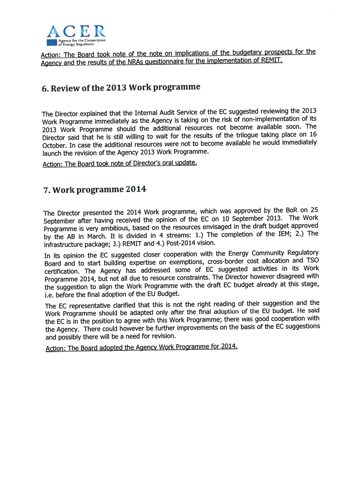

Action: The Board took note of the note on implications of the budgetary prospects for the Agency and the results of the NRAs questionnaire for the implementation of REMIT.

# 6. Review of the 2013 Work programme

The Director explained that the Internal Audit Service of the EC suggested reviewing the <sup>2013</sup> Work Programme immediately as the Agency is taking on the risk of non-implementation of its <sup>2013</sup> Work Programme should the additional resources not become available soon. The Director said that he is still willing to wait for the results of the trilogue taking <sup>p</sup>lace on <sup>16</sup> October. In case the additional resources were not to become available he would immediately launch the revision of the Agency <sup>2013</sup> Work Programme.

Action: The Board took note of Director's oral update.

### 7. Work programme 2014

The Director presented the <sup>2014</sup> Work programme, which was approve<sup>d</sup> by the BoR on <sup>25</sup> September after having received the opinion of the EC on <sup>10</sup> September 2013. The Work Programme is very ambitious, based on the resources envisaged in the draft budget approve<sup>d</sup> by the AB in March. It is divided in <sup>4</sup> streams: 1.) The completion of the IEM; 2.) The infrastructure package; 3.) REMIT and 4.) Post-2014 vision.

In its opinion the EC suggested closer cooperation with the Energy Community Regulatory Board and to start building expertise on exemptions, cross-border cost allocation and TSO certification. The Agency has addressed some of EC suggested activities in its Work Programme 2014, but not all due to resource constraints. The Director however disagreed with the suggestion to align the Work Programme with the draft EC budget already at this stage, i.e. before the final adoption of the EU Budget.

The EC representative clarified that this is not the right reading of their suggestion and the Work Programme should be adapted only after the final adoption of the EU budget. He said the EC is in the position to agree with this Work Programme; there was goo<sup>d</sup> cooperation with the Agency. There could however be further improvements on the basis of the EC suggestions and possibly there will be <sup>a</sup> need for revision.

Action: The Board adopted the Agency Work Programme for 2014.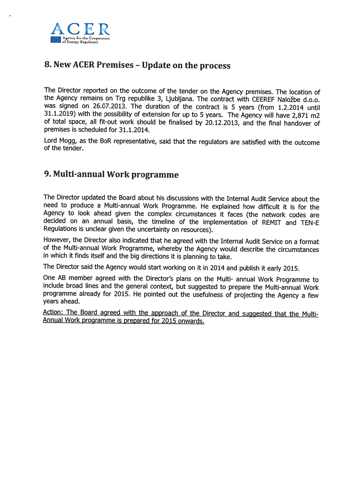

## 8. New ACER Premises - Update on the process

The Director reported on the outcome of the tender on the Agency premises. The location of the Agency remains on Trg republike 3, Ljubljana. The contract with CEEREF Naložbe d.o.o. was signed on 26.07.2013. The duration of the contract is 5 years (from 1.2.2014 until 31.1.2019) with the possibility of extension for up to 5 years. The Agency will have 2,871 m2 of total space, all fit-out work should be finalised by 20.12.2013, and the final handover of premises is scheduled for 31.1.2014.

Lord Mogg, as the BoR representative, said that the regulators are satisfied with the outcome of the tender.

## 9. Multi-annual Work programme

The Director updated the Board about his discussions with the Internal Audit Service about the need to produce <sup>a</sup> Multi-annual Work Programme. He explained how difficult it is for the Agency to look ahead <sup>g</sup>iven the complex circumstances it faces (the network codes are decided on an annual basis, the timeline of the implementation of REMIT and TEN-E Regulations is unclear <sup>g</sup>iven the uncertainty on resources).

However, the Director also indicated that he agree<sup>d</sup> with the Internal Audit Service on <sup>a</sup> format of the Multi-annual Work Programme, whereby the Agency would describe the circumstances in which it finds itself and the big directions it is <sup>p</sup>lanning to take.

The Director said the Agency would start working on it in <sup>2014</sup> and publish it early 2015.

One AB member agree<sup>d</sup> with the Director's <sup>p</sup>lans on the Multi- annual Work Programme to include broad lines and the genera<sup>l</sup> context, but suggested to prepare the Multi-annual Work programme already for 2015. He pointed out the usefulness of projecting the Agency <sup>a</sup> few years ahead.

Action: The Board agreed with the approach of the Director and suggested that the Multi-<br>Annual Work programme is prepared for 2015 onwards.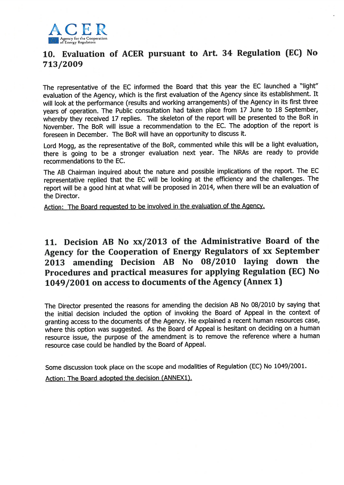

## 10. Evaluation of ACER pursuan<sup>t</sup> to Art. <sup>34</sup> Regulation (EC) No 713/2009

The representative of the EC informed the Board that this year the EC launched <sup>a</sup> "light" evaluation of the Agency, which is the first evaluation of the Agency since its establishment. It will look at the performance (results and working arrangements) of the Agency in its first three years of operation. The Public consultation had taken <sup>p</sup>lace from <sup>17</sup> June to <sup>18</sup> September, whereby they received <sup>17</sup> replies. The skeleton of the repor<sup>t</sup> will be presented to the BoR in November. The BoR will issue <sup>a</sup> recommendation to the EC. The adoption of the repor<sup>t</sup> is foreseen in December. The BoR will have an opportunity to discuss it.

Lord Mogg, as the representative of the BoR, commented while this will be <sup>a</sup> light evaluation, there is going to be <sup>a</sup> stronger evaluation next year. The NRAs are ready to provide recommendations to the EC.

The AB Chairman inquired about the nature and possible implications of the report. The EC representative replied that the EC will be looking at the efficiency and the challenges. The repor<sup>t</sup> will be <sup>a</sup> goo<sup>d</sup> hint at what will be propose<sup>d</sup> in 2014, when there will be an evaluation of the Director.

Action: The Board requested to be involved in the evaluation of the Agency.

## 11. Decision AB No xx/2013 of the Administrative Board of the Agency for the Cooperation of Energy Regulators of xx September <sup>2013</sup> amending Decision AB No 08/2010 laying down the Procedures and practical measures for applying Regulation (EC) No 1049/2001 on access to documents of the Agency (Annex 1)

The Director presented the reasons for amending the decision AB No 08/2010 by saying that the initial decision included the option of invoking the Board of Appeal in the context of granting access to the documents of the Agency. He explained <sup>a</sup> recent human resources case, where this option was suggested. As the Board of Appeal is hesitant on deciding on <sup>a</sup> human resource issue, the purpose of the amendment is to remove the reference where <sup>a</sup> human resource case could be handled by the Board of Appeal.

Some discussion took <sup>p</sup>lace on the scope and modalities of Regulation (EC) No 1049/2001. Action: The Board adopted the decision (ANNEX1).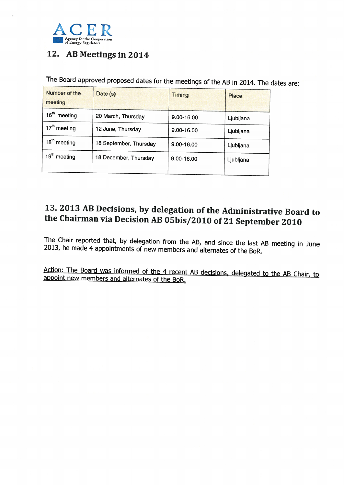

# 12. AB Meetings in 2014

The Board approved proposed dates for the meetings of the AB in 2014. The dates are:

| Number of the<br>meeting    | Date (s)               | <b>Timing</b> | Place     |
|-----------------------------|------------------------|---------------|-----------|
| 16 <sup>th</sup><br>meeting | 20 March, Thursday     | 9.00-16.00    | Ljubljana |
| 17 <sup>th</sup> meeting    | 12 June, Thursday      | 9.00-16.00    | Ljubljana |
| 18 <sup>th</sup> meeting    | 18 September, Thursday | 9.00-16.00    | Ljubljana |
| 19 <sup>th</sup> meeting    | 18 December, Thursday  | 9.00-16.00    | Ljubljana |
|                             |                        |               |           |

# 13. <sup>2013</sup> AB Decisions, by delegation of the Administrative Board to the Chairman via Decision AB O5bis/2010 of <sup>21</sup> September <sup>2010</sup>

The Chair reported that, by delegation from the AB, and since the last AB meeting in June 2013, he made <sup>4</sup> appointments of new members and alternates of the BoR.

Action: The Board was informed of the 4 recent AB decisions, delegated to the AB Chair, to appoint new members and alternates of the BoR.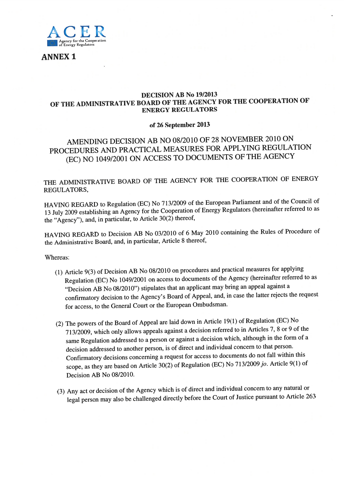

ANNEX 1

#### DECISION AB No 19/2013 OF THE ADMINISTRATIVE BOARD OF THE AGENCY FOR THE COOPERATION OF ENERGY REGULATORS

#### of 26 September 2013

## AMENDING DECISION AB NO 08/2010 OF <sup>28</sup> NOVEMBER <sup>2010</sup> ON PROCEDURES AND PRACTICAL MEASURES FOR APPLYING REGULATION (EC) NO 1049/2001 ON ACCESS TO DOCUMENTS OF THE AGENCY

## THE ADMINISTRATIVE BOARD OF THE AGENCY FOR THE COOPERATION OF ENERGY REGULATORS,

HAVING REGARD to Regulation (EC) No 713/2009 of the European Parliament and of the Council of <sup>13</sup> July <sup>2009</sup> establishing an Agency for the Cooperation of Energy Regulators (hereinafter referred to as the "Agency"), and, in particular, to Article 30(2) thereof,

HAVING REGARD to Decision AB No 03/2010 of <sup>6</sup> May <sup>2010</sup> containing the Rules of Procedure of the Administrative Board, and, in particular, Article <sup>8</sup> thereof,

Whereas:

- (1) Article 9(3) of Decision AB No 08/2010 on procedures and practical measures for applying Regulation (EC) No 1049/2001 on access to documents of the Agency (hereinafter referred to as "Decision AB No 08/2010") stipulates that an applicant may bring an appea<sup>l</sup> against <sup>a</sup> confirmatory decision to the Agency's Board of Appeal, and, in case the latter rejects the reques<sup>t</sup> for access, to the General Court or the European Ombudsman.
- (2) The powers of the Board of Appeal are laid down in Article 19(1) of Regulation (EC) No 713/2009, which only allows appeals against <sup>a</sup> decision referred to in Articles 7, <sup>8</sup> or <sup>9</sup> of the same Regulation addressed to <sup>a</sup> person or against <sup>a</sup> decision which, although in the form of <sup>a</sup> decision addressed to another person, is of direct and individual concern to that person. Confirmatory decisions concerning <sup>a</sup> reques<sup>t</sup> for access to documents do not fall within this scope, as they are based on Article 30(2) of Regulation (EC) No 713/2009 jo. Article 9(1) of Decision AB No 08/2010.
- (3) Any act or decision of the Agency which is of direct and individual concern to any natural or legal person may also be challenged directly before the Court of Justice pursuan<sup>t</sup> to Article <sup>263</sup>